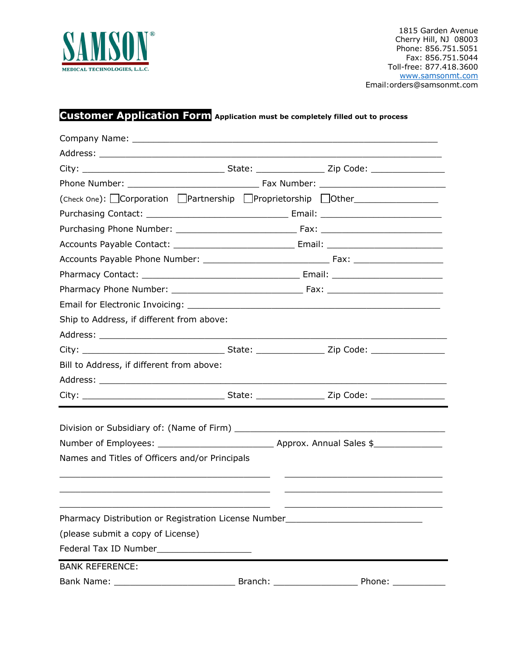

1815 Garden Avenue Cherry Hill, NJ 08003 Phone: 856.751.5051 Fax: 856.751.5044 Toll-free: 877.418.3600 www.samsonmt.com Email:orders@samsonmt.com

## **Customer Application Form Application must be completely filled out to process**

|                                                                                  |  | $(\text{Check One})$ : $\Box$ Corporation $\Box$ Partnership $\Box$ Proprietorship $\Box$ Other $\Box$ |  |  |  |
|----------------------------------------------------------------------------------|--|--------------------------------------------------------------------------------------------------------|--|--|--|
|                                                                                  |  |                                                                                                        |  |  |  |
|                                                                                  |  |                                                                                                        |  |  |  |
|                                                                                  |  |                                                                                                        |  |  |  |
|                                                                                  |  |                                                                                                        |  |  |  |
|                                                                                  |  |                                                                                                        |  |  |  |
|                                                                                  |  |                                                                                                        |  |  |  |
|                                                                                  |  |                                                                                                        |  |  |  |
| Ship to Address, if different from above:                                        |  |                                                                                                        |  |  |  |
|                                                                                  |  |                                                                                                        |  |  |  |
|                                                                                  |  |                                                                                                        |  |  |  |
| Bill to Address, if different from above:                                        |  |                                                                                                        |  |  |  |
|                                                                                  |  |                                                                                                        |  |  |  |
|                                                                                  |  |                                                                                                        |  |  |  |
|                                                                                  |  |                                                                                                        |  |  |  |
|                                                                                  |  |                                                                                                        |  |  |  |
|                                                                                  |  |                                                                                                        |  |  |  |
| Names and Titles of Officers and/or Principals                                   |  |                                                                                                        |  |  |  |
|                                                                                  |  |                                                                                                        |  |  |  |
|                                                                                  |  |                                                                                                        |  |  |  |
| Pharmacy Distribution or Registration License Number____________________________ |  |                                                                                                        |  |  |  |
| (please submit a copy of License)                                                |  |                                                                                                        |  |  |  |
|                                                                                  |  |                                                                                                        |  |  |  |
| <b>BANK REFERENCE:</b>                                                           |  |                                                                                                        |  |  |  |
|                                                                                  |  |                                                                                                        |  |  |  |